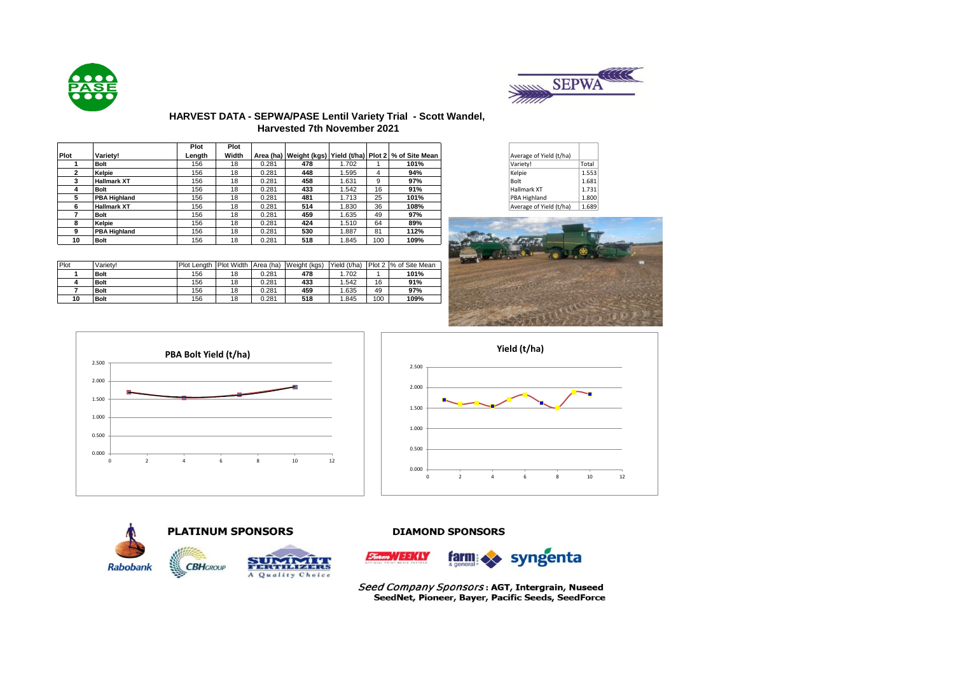



# **HARVEST DATA - SEPWA/PASE Lentil Variety Trial - Scott Wandel, Harvested 7th November 2021**

|      |                     | Plot   | Plot  |       |     |       |     |                                                                   |                         |       |
|------|---------------------|--------|-------|-------|-----|-------|-----|-------------------------------------------------------------------|-------------------------|-------|
| Plot | <b>Variety!</b>     | Length | Width |       |     |       |     | Area (ha)   Weight (kgs)   Yield (t/ha)   Plot 2   % of Site Mean | Average of Yield (t/ha) |       |
|      | <b>Bolt</b>         | 156    | 18    | 0.281 | 478 | .702  |     | 101%                                                              | Variety!                | Total |
|      | Kelpie              | 156    | 18    | 0.281 | 448 | .595  |     | 94%                                                               | Kelpie                  | 1.553 |
|      | <b>Hallmark XT</b>  | 156    | 18    | 0.281 | 458 | .631  | 9   | 97%                                                               | Bolt                    | 1.681 |
|      | <b>Bolt</b>         | 156    | 18    | 0.281 | 433 | .542  | 16  | 91%                                                               | Hallmark XT             | 1.731 |
|      | <b>PBA Highland</b> | 156    | 18    | 0.281 | 481 | 1.713 | 25  | 101%                                                              | PBA Highland            | 1.800 |
|      | <b>Hallmark XT</b>  | 156    | 18    | 0.281 | 514 | .830  | 36  | 108%                                                              | Average of Yield (t/ha) | 1.689 |
|      | <b>Bolt</b>         | 156    | 18    | 0.281 | 459 | 1.635 | 49  | 97%                                                               |                         |       |
| 8    | Kelpie              | 156    | 18    | 0.281 | 424 | .510  | 64  | 89%                                                               |                         |       |
|      | <b>PBA Highland</b> | 156    | 18    | 0.281 | 530 | .887  | 81  | 112%                                                              |                         |       |
| 10   | <b>Bolt</b>         | 156    | 18    | 0.281 | 518 | .845  | 100 | 109%                                                              |                         |       |

Plot Variety! Plot Length Plot Width Area (ha) Weight (kgs) Yield (t/ha) Plot 2 % of Site Mean<br>1 Bolt 156 18 0.281 478 1.702 1 101% **Bolt** 156 18 0.281 **478** 1.702 1 **101% Bolt** 156 18 0.281 **433** 1.542 16 **91% Bolt** 156 18 0.281 **459** 1.635 49 **97% Bolt** 156 18 0.281 **518** 1.845 100 **109%**

| Average of Yield (t/ha) |       |
|-------------------------|-------|
| Variety!                | Total |
| Kelpie                  | 1.553 |
| Bolt                    | 1.681 |
| Hallmark XT             | 1.731 |
| PBA Highland            | 1.800 |
| Average of Yield (t/ha) | 1.689 |





**CBHGROUP** 

**Rabobank** 





A Quality Choice

# **DIAMOND SPONSORS**



Seed Company Sponsors: AGT, Intergrain, Nuseed SeedNet, Pioneer, Bayer, Pacific Seeds, SeedForce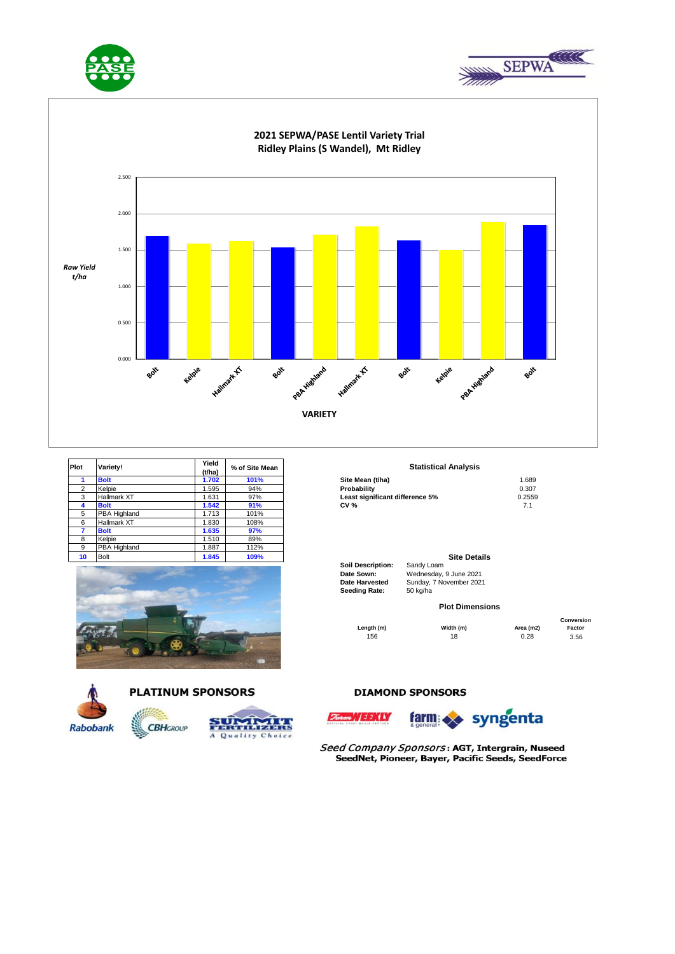





| Plot           | Variety!           | Yield<br>(t/ha) | % of Site Mean | <b>Statistical Analysis</b>     |        |
|----------------|--------------------|-----------------|----------------|---------------------------------|--------|
|                | <b>Bolt</b>        | 1.702           | 101%           | Site Mean (t/ha)                | 1.689  |
| $\overline{2}$ | Kelpie             | 1.595           | 94%            | Probability                     | 0.307  |
| 3              | <b>Hallmark XT</b> | .631            | 97%            | Least significant difference 5% | 0.2559 |
| 4              | <b>Bolt</b>        | 1.542           | 91%            | <b>CV %</b>                     | 7.1    |
| 5              | PBA Highland       | 1.713           | 101%           |                                 |        |
| 6              | Hallmark XT        | 1.830           | 108%           |                                 |        |
|                | <b>Bolt</b>        | 1.635           | 97%            |                                 |        |
| 8              | Kelpie             | 1.510           | 89%            |                                 |        |
| 9              | PBA Highland       | .887            | 112%           |                                 |        |
| 10             | <b>Bolt</b>        | 1.845           | 109%           | <b>Site Details</b>             |        |





Quality Choice

### **Statistical Analysis**

| Site Mean (t/ha)                | 1.689  |
|---------------------------------|--------|
| Probabilitv                     | 0.307  |
| Least significant difference 5% | 0.2559 |
| CV %                            | 71     |

### **Site Details**

**Soil Description:** Sandy Loam<br> **Date Sown:** Wednesday. Date Sown: Wednesday, 9 June 2021<br> **Date Harvested** Sunday, 7 November 2021 Sunday, 7 November 2021<br>50 kg/ha

### **Plot Dimensions**

156 18 0.28 3.56 **Length (m) Width (m) Area (m2)** 

**Conversion Factor**

# **Rabobank**



 $\mathbf{A}$ 

**CBH**GROUP







Seed Company Sponsors: AGT, Intergrain, Nuseed SeedNet, Pioneer, Bayer, Pacific Seeds, SeedForce